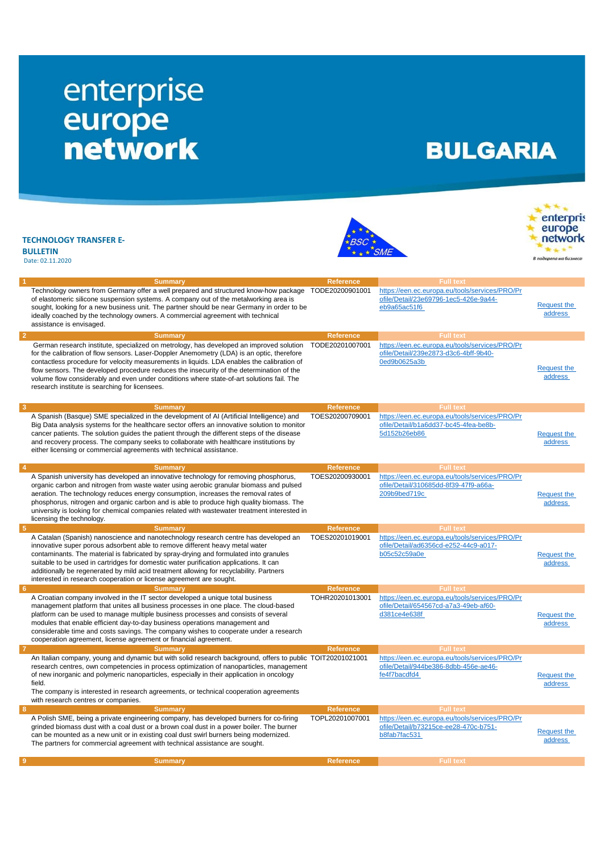## enterprise<br>
europe<br>
network

## **BULGARIA**

 $\mathbf{r}^{\mathbf{w} \cdot \mathbf{w}}$ 

|                | <b>TECHNOLOGY TRANSFER E-</b><br><b>BULLETIN</b><br>Date: 02.11.2020                                                                                                                                                                                                                                                                                                                                                                                                                                                           |                  |                                                                                                         | enterpris<br>europe<br>network<br>В подкрепа на бизнеса |
|----------------|--------------------------------------------------------------------------------------------------------------------------------------------------------------------------------------------------------------------------------------------------------------------------------------------------------------------------------------------------------------------------------------------------------------------------------------------------------------------------------------------------------------------------------|------------------|---------------------------------------------------------------------------------------------------------|---------------------------------------------------------|
| -1             | <b>Summary</b>                                                                                                                                                                                                                                                                                                                                                                                                                                                                                                                 | <b>Reference</b> | <b>Full text</b>                                                                                        |                                                         |
|                | Technology owners from Germany offer a well prepared and structured know-how package<br>of elastomeric silicone suspension systems. A company out of the metalworking area is<br>sought, looking for a new business unit. The partner should be near Germany in order to be<br>ideally coached by the technology owners. A commercial agreement with technical<br>assistance is envisaged.                                                                                                                                     | TODE20200901001  | https://een.ec.europa.eu/tools/services/PRO/Pr<br>ofile/Detail/23e69796-1ec5-426e-9a44-<br>eb9a65ac51f6 | <b>Request the</b><br>address                           |
| $\overline{2}$ | <b>Summary</b>                                                                                                                                                                                                                                                                                                                                                                                                                                                                                                                 | <b>Reference</b> | <b>Full text</b>                                                                                        |                                                         |
|                | German research institute, specialized on metrology, has developed an improved solution<br>for the calibration of flow sensors. Laser-Doppler Anemometry (LDA) is an optic, therefore<br>contactless procedure for velocity measurements in liquids. LDA enables the calibration of<br>flow sensors. The developed procedure reduces the insecurity of the determination of the<br>volume flow considerably and even under conditions where state-of-art solutions fail. The<br>research institute is searching for licensees. | TODE20201007001  | https://een.ec.europa.eu/tools/services/PRO/Pr<br>ofile/Detail/239e2873-d3c6-4bff-9b40-<br>0ed9b0625a3b | <b>Request the</b><br>address                           |
| $\mathbf{3}$   | <b>Summary</b>                                                                                                                                                                                                                                                                                                                                                                                                                                                                                                                 | <b>Reference</b> | <b>Full text</b>                                                                                        |                                                         |
|                | A Spanish (Basque) SME specialized in the development of AI (Artificial Intelligence) and<br>Big Data analysis systems for the healthcare sector offers an innovative solution to monitor<br>cancer patients. The solution guides the patient through the different steps of the disease<br>and recovery process. The company seeks to collaborate with healthcare institutions by<br>either licensing or commercial agreements with technical assistance.                                                                     | TOES20200709001  | https://een.ec.europa.eu/tools/services/PRO/Pr<br>ofile/Detail/b1a6dd37-bc45-4fea-be8b-<br>5d152b26eb86 | <b>Request the</b><br>address                           |
| $\overline{4}$ | <b>Summary</b>                                                                                                                                                                                                                                                                                                                                                                                                                                                                                                                 | <b>Reference</b> | <b>Full text</b>                                                                                        |                                                         |
|                | A Spanish university has developed an innovative technology for removing phosphorus,<br>organic carbon and nitrogen from waste water using aerobic granular biomass and pulsed<br>aeration. The technology reduces energy consumption, increases the removal rates of<br>phosphorus, nitrogen and organic carbon and is able to produce high quality biomass. The<br>university is looking for chemical companies related with wastewater treatment interested in<br>licensing the technology.                                 | TOES20200930001  | https://een.ec.europa.eu/tools/services/PRO/Pr<br>ofile/Detail/310685dd-8f39-47f9-a66a-<br>209b9bed719c | <b>Request the</b><br>address                           |
| $-5$           | <b>Summary</b>                                                                                                                                                                                                                                                                                                                                                                                                                                                                                                                 | <b>Reference</b> | <b>Full text</b>                                                                                        |                                                         |
|                | A Catalan (Spanish) nanoscience and nanotechnology research centre has developed an<br>innovative super porous adsorbent able to remove different heavy metal water<br>contaminants. The material is fabricated by spray-drying and formulated into granules<br>suitable to be used in cartridges for domestic water purification applications. It can<br>additionally be regenerated by mild acid treatment allowing for recyclability. Partners<br>interested in research cooperation or license agreement are sought.       | TOES20201019001  | https://een.ec.europa.eu/tools/services/PRO/Pr<br>ofile/Detail/ad6356cd-e252-44c9-a017-<br>b05c52c59a0e | Request the<br>address                                  |
| - 6            | <b>Summary</b>                                                                                                                                                                                                                                                                                                                                                                                                                                                                                                                 | <b>Reference</b> | <b>Full text</b>                                                                                        |                                                         |
|                | A Croatian company involved in the IT sector developed a unique total business<br>management platform that unites all business processes in one place. The cloud-based<br>platform can be used to manage multiple business processes and consists of several<br>modules that enable efficient day-to-day business operations management and<br>considerable time and costs savings. The company wishes to cooperate under a research<br>cooperation agreement, license agreement or financial agreement.                       | TOHR20201013001  | https://een.ec.europa.eu/tools/services/PRO/Pr<br>ofile/Detail/654567cd-a7a3-49eb-af60-<br>d381ce4e638f | <b>Request the</b><br>address                           |
| -7             | <b>Summary</b>                                                                                                                                                                                                                                                                                                                                                                                                                                                                                                                 | <b>Reference</b> | <b>Full text</b>                                                                                        |                                                         |
|                | An Italian company, young and dynamic but with solid research background, offers to public TOIT20201021001<br>research centres, own competencies in process optimization of nanoparticles, management<br>of new inorganic and polymeric nanoparticles, especially in their application in oncology<br>field.<br>The company is interested in research agreements, or technical cooperation agreements<br>with research centres or companies.                                                                                   |                  | https://een.ec.europa.eu/tools/services/PRO/Pr<br>ofile/Detail/944be386-8dbb-456e-ae46-<br>fe4f7bacdfd4 | <b>Request the</b><br>address                           |
| 8              | <b>Summary</b>                                                                                                                                                                                                                                                                                                                                                                                                                                                                                                                 | <b>Reference</b> | <b>Full text</b>                                                                                        |                                                         |
|                | A Polish SME, being a private engineering company, has developed burners for co-firing<br>grinded biomass dust with a coal dust or a brown coal dust in a power boiler. The burner<br>can be mounted as a new unit or in existing coal dust swirl burners being modernized.<br>The partners for commercial agreement with technical assistance are sought.                                                                                                                                                                     | TOPL20201007001  | https://een.ec.europa.eu/tools/services/PRO/Pr<br>ofile/Detail/b73215ce-ee28-470c-b751-<br>b8fab7fac531 | <b>Request the</b><br>address                           |
| -9             | <b>Summary</b>                                                                                                                                                                                                                                                                                                                                                                                                                                                                                                                 | <b>Reference</b> | <b>Full text</b>                                                                                        |                                                         |
|                |                                                                                                                                                                                                                                                                                                                                                                                                                                                                                                                                |                  |                                                                                                         |                                                         |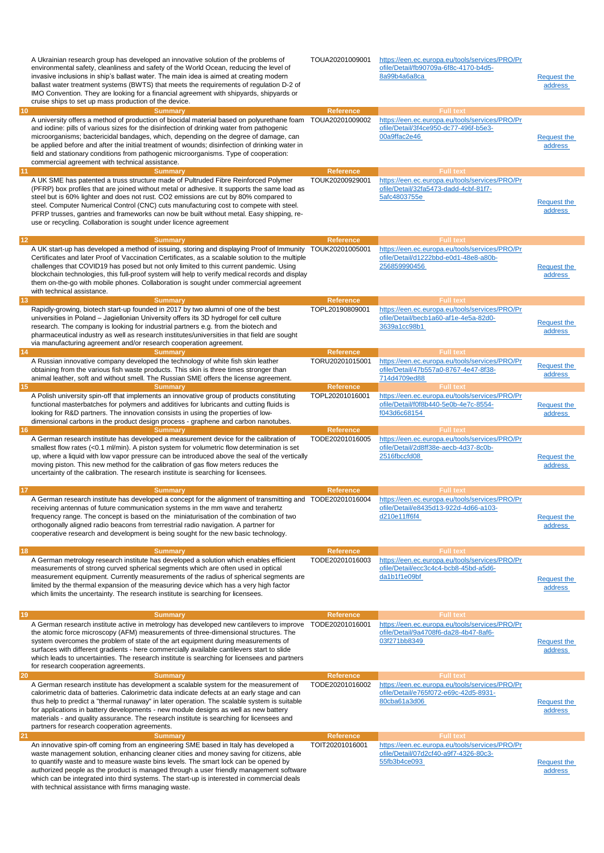| 10 | A Ukrainian research group has developed an innovative solution of the problems of<br>environmental safety, cleanliness and safety of the World Ocean, reducing the level of<br>invasive inclusions in ship's ballast water. The main idea is aimed at creating modern<br>ballast water treatment systems (BWTS) that meets the requirements of requlation D-2 of<br>IMO Convention. They are looking for a financial agreement with shipyards, shipyards or<br>cruise ships to set up mass production of the device.<br><b>Summary</b>                | TOUA20201009001<br><b>Reference</b> | https://een.ec.europa.eu/tools/services/PRO/Pr<br>ofile/Detail/fb90709a-6f8c-4170-b4d5-<br>8a99b4a6a8ca<br><b>Full text</b> | <b>Request the</b><br>address        |
|----|--------------------------------------------------------------------------------------------------------------------------------------------------------------------------------------------------------------------------------------------------------------------------------------------------------------------------------------------------------------------------------------------------------------------------------------------------------------------------------------------------------------------------------------------------------|-------------------------------------|-----------------------------------------------------------------------------------------------------------------------------|--------------------------------------|
|    | A university offers a method of production of biocidal material based on polyurethane foam<br>and iodine: pills of various sizes for the disinfection of drinking water from pathogenic<br>microorganisms; bactericidal bandages, which, depending on the degree of damage, can<br>be applied before and after the initial treatment of wounds; disinfection of drinking water in<br>field and stationary conditions from pathogenic microorganisms. Type of cooperation:<br>commercial agreement with technical assistance.                           | TOUA20201009002                     | https://een.ec.europa.eu/tools/services/PRO/Pr<br>ofile/Detail/3f4ce950-dc77-496f-b5e3-<br>00a9ffac2e46                     | Request the<br>address               |
| 11 | <b>Summary</b><br>A UK SME has patented a truss structure made of Pultruded Fibre Reinforced Polymer<br>(PFRP) box profiles that are joined without metal or adhesive. It supports the same load as<br>steel but is 60% lighter and does not rust. CO2 emissions are cut by 80% compared to<br>steel. Computer Numerical Control (CNC) cuts manufacturing cost to compete with steel.<br>PFRP trusses, gantries and frameworks can now be built without metal. Easy shipping, re-<br>use or recycling. Collaboration is sought under licence agreement | <b>Reference</b><br>TOUK20200929001 | <b>Full text</b><br>https://een.ec.europa.eu/tools/services/PRO/Pr<br>ofile/Detail/32fa5473-dadd-4cbf-81f7-<br>5afc4803755e | <b>Request the</b><br>address        |
| 12 | <b>Summary</b>                                                                                                                                                                                                                                                                                                                                                                                                                                                                                                                                         | <b>Reference</b>                    | <b>Full text</b>                                                                                                            |                                      |
|    | A UK start-up has developed a method of issuing, storing and displaying Proof of Immunity<br>Certificates and later Proof of Vaccination Certificates, as a scalable solution to the multiple<br>challenges that COVID19 has posed but not only limited to this current pandemic. Using<br>blockchain technologies, this full-proof system will help to verify medical records and display<br>them on-the-go with mobile phones. Collaboration is sought under commercial agreement<br>with technical assistance.                                      | TOUK20201005001                     | https://een.ec.europa.eu/tools/services/PRO/Pr<br>ofile/Detail/d1222bbd-e0d1-48e8-a80b-<br>256859990456                     | <b>Request the</b><br>address        |
| 13 | <b>Summary</b><br>Rapidly-growing, biotech start-up founded in 2017 by two alumni of one of the best                                                                                                                                                                                                                                                                                                                                                                                                                                                   | <b>Reference</b><br>TOPL20190809001 | <b>Full text</b><br>https://een.ec.europa.eu/tools/services/PRO/Pr                                                          |                                      |
|    | universities in Poland - Jagiellonian University offers its 3D hydrogel for cell culture<br>research. The company is looking for industrial partners e.g. from the biotech and<br>pharmaceutical industry as well as research institutes/universities in that field are sought<br>via manufacturing agreement and/or research cooperation agreement.                                                                                                                                                                                                   |                                     | ofile/Detail/becb1a60-af1e-4e5a-82d0-<br>3639a1cc98b1                                                                       | <b>Request the</b><br>address        |
| 14 | <b>Summary</b>                                                                                                                                                                                                                                                                                                                                                                                                                                                                                                                                         | Reference                           | <b>Full text</b>                                                                                                            |                                      |
|    | A Russian innovative company developed the technology of white fish skin leather<br>obtaining from the various fish waste products. This skin is three times stronger than<br>animal leather, soft and without smell. The Russian SME offers the license agreement.                                                                                                                                                                                                                                                                                    | TORU20201015001                     | https://een.ec.europa.eu/tools/services/PRO/Pr<br>ofile/Detail/47b557a0-8767-4e47-8f38-<br>714d4709ed88                     | <b>Request the</b><br>address        |
| 15 | <b>Summary</b>                                                                                                                                                                                                                                                                                                                                                                                                                                                                                                                                         | <b>Reference</b>                    | <b>Full text</b>                                                                                                            |                                      |
|    | A Polish university spin-off that implements an innovative group of products constituting<br>functional masterbatches for polymers and additives for lubricants and cutting fluids is<br>looking for R&D partners. The innovation consists in using the properties of low-<br>dimensional carbons in the product design process - graphene and carbon nanotubes.                                                                                                                                                                                       | TOPL20201016001                     | https://een.ec.europa.eu/tools/services/PRO/Pr<br>ofile/Detail/f0f8b440-5e0b-4e7c-8554-<br>f043d6c68154                     | <b>Request the</b><br><b>address</b> |
| 16 | <b>Summary</b><br>A German research institute has developed a measurement device for the calibration of<br>smallest flow rates $(<0.1$ ml/min). A piston system for volumetric flow determination is set<br>up, where a liquid with low vapor pressure can be introduced above the seal of the vertically<br>moving piston. This new method for the calibration of gas flow meters reduces the<br>uncertainty of the calibration. The research institute is searching for licensees.                                                                   | <b>Reference</b><br>TODE20201016005 | <b>Full text</b><br>https://een.ec.europa.eu/tools/services/PRO/Pr<br>ofile/Detail/2d8ff38e-aecb-4d37-8c0b-<br>2516fbccfd08 | <b>Request the</b><br>address        |
| 17 |                                                                                                                                                                                                                                                                                                                                                                                                                                                                                                                                                        | <b>Reference</b>                    | <b>Full text</b>                                                                                                            |                                      |
|    | <b>Summary</b><br>A German research institute has developed a concept for the alignment of transmitting and TODE20201016004<br>receiving antennas of future communication systems in the mm wave and terahertz<br>frequency range. The concept is based on the miniaturisation of the combination of two<br>orthogonally aligned radio beacons from terrestrial radio navigation. A partner for<br>cooperative research and development is being sought for the new basic technology.                                                                  |                                     | https://een.ec.europa.eu/tools/services/PRO/Pr<br>ofile/Detail/e8435d13-922d-4d66-a103-<br>d210e11ff6f4                     | <b>Request the</b><br>address        |
| 18 |                                                                                                                                                                                                                                                                                                                                                                                                                                                                                                                                                        | <b>Reference</b>                    | <b>Full text</b>                                                                                                            |                                      |
|    | <b>Summary</b><br>A German metrology research institute has developed a solution which enables efficient<br>measurements of strong curved spherical segments which are often used in optical<br>measurement equipment. Currently measurements of the radius of spherical segments are<br>limited by the thermal expansion of the measuring device which has a very high factor<br>which limits the uncertainty. The research institute is searching for licensees.                                                                                     | TODE20201016003                     | https://een.ec.europa.eu/tools/services/PRO/Pr<br>ofile/Detail/ecc3c4c4-bcb8-45bd-a5d6-<br>da1b1f1e09bf                     | Request the<br>address               |
| 19 | <b>Summary</b>                                                                                                                                                                                                                                                                                                                                                                                                                                                                                                                                         | <b>Reference</b>                    | <b>Full text</b>                                                                                                            |                                      |
|    | A German research institute active in metrology has developed new cantilevers to improve<br>the atomic force microscopy (AFM) measurements of three-dimensional structures. The<br>system overcomes the problem of state of the art equipment during measurements of<br>surfaces with different gradients - here commercially available cantilevers start to slide<br>which leads to uncertainties. The research institute is searching for licensees and partners<br>for research cooperation agreements.                                             | TODE20201016001                     | https://een.ec.europa.eu/tools/services/PRO/Pr<br>ofile/Detail/9a4708f6-da28-4b47-8af6-<br>03f271bb8349                     | <b>Request the</b><br>address        |
| 20 | <b>Summary</b>                                                                                                                                                                                                                                                                                                                                                                                                                                                                                                                                         | Reference                           | <b>Full text</b>                                                                                                            |                                      |
|    | A German research institute has development a scalable system for the measurement of<br>calorimetric data of batteries. Calorimetric data indicate defects at an early stage and can<br>thus help to predict a "thermal runaway" in later operation. The scalable system is suitable<br>for applications in battery developments - new module designs as well as new battery<br>materials - and quality assurance. The research institute is searching for licensees and<br>partners for research cooperation agreements.                              | TODE20201016002                     | https://een.ec.europa.eu/tools/services/PRO/Pr<br>ofile/Detail/e765f072-e69c-42d5-8931-<br>80cba61a3d06                     | <b>Request the</b><br>address        |
| 21 | <b>Summary</b>                                                                                                                                                                                                                                                                                                                                                                                                                                                                                                                                         | <b>Reference</b>                    | <b>Full text</b>                                                                                                            |                                      |
|    | An innovative spin-off coming from an engineering SME based in Italy has developed a<br>waste management solution, enhancing cleaner cities and money saving for citizens, able<br>to quantify waste and to measure waste bins levels. The smart lock can be opened by<br>authorized people as the product is managed through a user friendly management software<br>which can be integrated into third systems. The start-up is interested in commercial deals<br>with technical assistance with firms managing waste.                                | TOIT20201016001                     | https://een.ec.europa.eu/tools/services/PRO/Pr<br>ofile/Detail/07d2cf40-a9f7-4326-80c3-<br>55fb3b4ce093                     | <b>Request the</b><br>address        |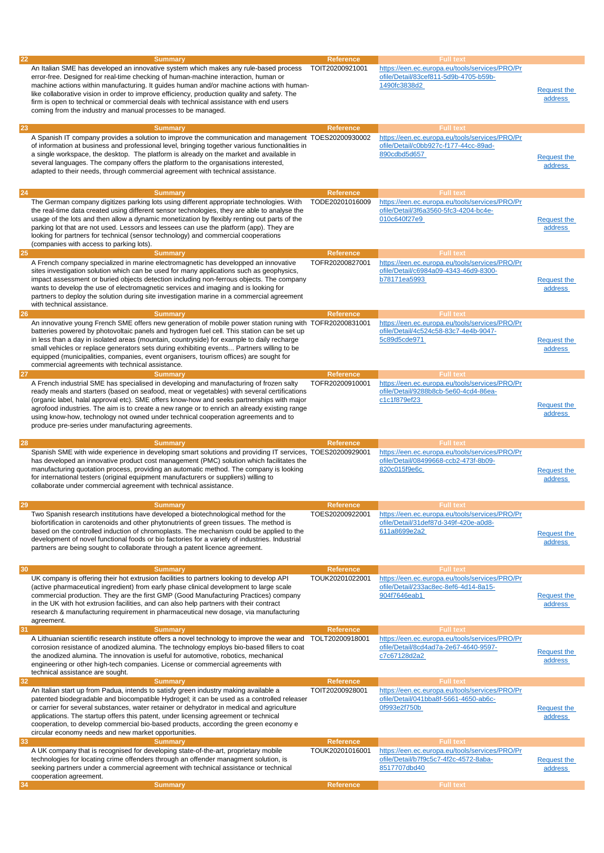| https://een.ec.europa.eu/tools/services/PRO/Pr<br>An Italian SME has developed an innovative system which makes any rule-based process<br>TOIT20200921001<br>ofile/Detail/83cef811-5d9b-4705-b59b-<br>error-free. Designed for real-time checking of human-machine interaction, human or<br>1490fc3838d2<br>machine actions within manufacturing. It guides human and/or machine actions with human-<br><b>Request the</b><br>like collaborative vision in order to improve efficiency, production quality and safety. The<br><b>address</b><br>firm is open to technical or commercial deals with technical assistance with end users<br>coming from the industry and manual processes to be managed.<br><b>Full text</b><br>23<br><b>Summary</b><br>Reference<br>A Spanish IT company provides a solution to improve the communication and management TOES20200930002<br>https://een.ec.europa.eu/tools/services/PRO/Pr<br>ofile/Detail/c0bb927c-f177-44cc-89ad-<br>of information at business and professional level, bringing together various functionalities in<br>890cdbd5d657<br>a single workspace, the desktop. The platform is already on the market and available in<br>Request the<br>several languages. The company offers the platform to the organisations interested,<br>address<br>adapted to their needs, through commercial agreement with technical assistance.<br>24<br><b>Full text</b><br><b>Summary</b><br><b>Reference</b><br>https://een.ec.europa.eu/tools/services/PRO/Pr<br>The German company digitizes parking lots using different appropriate technologies. With<br>TODE20201016009<br>ofile/Detail/3f6a3560-5fc3-4204-bc4e-<br>the real-time data created using different sensor technologies, they are able to analyse the<br>010c640f27e9<br>usage of the lots and then allow a dynamic monetization by flexibly renting out parts of the<br><b>Request the</b><br>parking lot that are not used. Lessors and lessees can use the platform (app). They are<br><b>address</b><br>looking for partners for technical (sensor technology) and commercial cooperations<br>(companies with access to parking lots).<br>25<br><b>Reference</b><br><b>Full text</b><br><b>Summary</b><br>https://een.ec.europa.eu/tools/services/PRO/Pr<br>A French company specialized in marine electromagnetic has developped an innovative<br>TOFR20200827001<br>ofile/Detail/c6984a09-4343-46d9-8300-<br>sites investigation solution which can be used for many applications such as geophysics,<br>impact assessment or buried objects detection including non-ferrous objects. The company<br>b78171ea5993<br><b>Request the</b><br>wants to develop the use of electromagnetic services and imaging and is looking for<br>address<br>partners to deploy the solution during site investigation marine in a commercial agreement<br>with technical assistance.<br>26<br><b>Summary</b><br><b>Reference</b><br><b>Full text</b><br>https://een.ec.europa.eu/tools/services/PRO/Pr<br>An innovative young French SME offers new generation of mobile power station runing with TOFR20200831001<br>ofile/Detail/4c524c58-83c7-4e4b-9047-<br>batteries powered by photovoltaic panels and hydrogen fuel cell. This station can be set up<br>5c89d5cde971<br>in less than a day in isolated areas (mountain, countryside) for example to daily recharge<br><b>Request the</b><br>small vehicles or replace generators sets during exhibiting events Partners willing to be<br>address<br>equipped (municipalities, companies, event organisers, tourism offices) are sought for<br>commercial agreements with technical assistance.<br>27<br><b>Full text</b><br><b>Reference</b><br><b>Summary</b><br>https://een.ec.europa.eu/tools/services/PRO/Pr<br>A French industrial SME has specialised in developing and manufacturing of frozen salty<br>TOFR20200910001<br>ofile/Detail/9288b8cb-5e60-4cd4-86ea-<br>ready meals and starters (based on seafood, meat or vegetables) with several certifications<br>c1c1f879ef23<br>(organic label, halal approval etc). SME offers know-how and seeks partnerships with major<br><b>Request the</b><br>agrofood industries. The aim is to create a new range or to enrich an already existing range<br>address<br>using know-how, technology not owned under technical cooperation agreements and to<br>produce pre-series under manufacturing agreements.<br>28<br><b>Full text</b><br><b>Summary</b><br><b>Reference</b><br>Spanish SME with wide experience in developing smart solutions and providing IT services, TOES20200929001<br>https://een.ec.europa.eu/tools/services/PRO/Pr<br>ofile/Detail/08499668-ccb2-473f-8b09-<br>has developed an innovative product cost management (PMC) solution which facilitates the<br>820c015f9e6c<br>manufacturing quotation process, providing an automatic method. The company is looking<br><b>Request the</b><br>for international testers (original equipment manufacturers or suppliers) willing to<br>address<br>collaborate under commercial agreement with technical assistance.<br>Summary<br><b>Reference</b><br>Full text<br>Two Spanish research institutions have developed a biotechnological method for the<br>TOES20200922001<br>https://een.ec.europa.eu/tools/services/PRO/Pr<br>biofortification in carotenoids and other phytonutrients of green tissues. The method is<br>ofile/Detail/31def87d-349f-420e-a0d8-<br>based on the controlled induction of chromoplasts. The mechanism could be applied to the<br>611a8699e2a2<br><b>Request the</b><br>development of novel functional foods or bio factories for a variety of industries. Industrial<br>address<br>partners are being sought to collaborate through a patent licence agreement.<br>30<br><b>Summary</b><br><b>Reference</b><br><b>Full text</b><br>UK company is offering their hot extrusion facilities to partners looking to develop API<br>TOUK20201022001<br>https://een.ec.europa.eu/tools/services/PRO/Pr<br>ofile/Detail/233ac8ec-8ef6-4d14-8a15-<br>(active pharmaceutical ingredient) from early phase clinical development to large scale<br>commercial production. They are the first GMP (Good Manufacturing Practices) company<br>904f7646eab1<br><b>Request the</b><br>in the UK with hot extrusion facilities, and can also help partners with their contract<br>address<br>research & manufacturing requirement in pharmaceutical new dosage, via manufacturing<br>agreement.<br>31<br><b>Full text</b><br><b>Summary</b><br><b>Reference</b><br>A Lithuanian scientific research institute offers a novel technology to improve the wear and<br>TOLT20200918001<br>https://een.ec.europa.eu/tools/services/PRO/Pr<br>ofile/Detail/8cd4ad7a-2e67-4640-9597-<br>corrosion resistance of anodized alumina. The technology employs bio-based fillers to coat<br><b>Request the</b><br>c7c67128d2a2<br>the anodized alumina. The innovation is useful for automotive, robotics, mechanical<br>address<br>engineering or other high-tech companies. License or commercial agreements with<br>technical assistance are sought.<br><b>Full text</b><br>32<br>Reference<br><b>Summary</b><br>An Italian start up from Padua, intends to satisfy green industry making available a<br>TOIT20200928001<br>https://een.ec.europa.eu/tools/services/PRO/Pr<br>patented biodegradable and biocompatible Hydrogel; it can be used as a controlled releaser<br>ofile/Detail/041bba8f-5661-4650-ab6c-<br>or carrier for several substances, water retainer or dehydrator in medical and agriculture<br>0f993e2f750b<br><b>Request the</b><br>applications. The startup offers this patent, under licensing agreement or technical<br>address<br>cooperation, to develop commercial bio-based products, according the green economy e<br>circular economy needs and new market opportunities.<br>33<br><b>Summary</b><br><b>Reference</b><br><b>Full text</b><br>A UK company that is recognised for developing state-of-the-art, proprietary mobile<br>TOUK20201016001<br>https://een.ec.europa.eu/tools/services/PRO/Pr<br>technologies for locating crime offenders through an offender managment solution, is<br>ofile/Detail/b7f9c5c7-4f2c-4572-8aba-<br><b>Request the</b><br>8517707dbd40<br>seeking partners under a commercial agreement with technical assistance or technical<br>address<br>cooperation agreement.<br><b>Full text</b><br><b>Summary</b><br>Reference<br>34 | 22 | <b>Summary</b> | <b>Reference</b> | <b>Full text</b> |  |
|---------------------------------------------------------------------------------------------------------------------------------------------------------------------------------------------------------------------------------------------------------------------------------------------------------------------------------------------------------------------------------------------------------------------------------------------------------------------------------------------------------------------------------------------------------------------------------------------------------------------------------------------------------------------------------------------------------------------------------------------------------------------------------------------------------------------------------------------------------------------------------------------------------------------------------------------------------------------------------------------------------------------------------------------------------------------------------------------------------------------------------------------------------------------------------------------------------------------------------------------------------------------------------------------------------------------------------------------------------------------------------------------------------------------------------------------------------------------------------------------------------------------------------------------------------------------------------------------------------------------------------------------------------------------------------------------------------------------------------------------------------------------------------------------------------------------------------------------------------------------------------------------------------------------------------------------------------------------------------------------------------------------------------------------------------------------------------------------------------------------------------------------------------------------------------------------------------------------------------------------------------------------------------------------------------------------------------------------------------------------------------------------------------------------------------------------------------------------------------------------------------------------------------------------------------------------------------------------------------------------------------------------------------------------------------------------------------------------------------------------------------------------------------------------------------------------------------------------------------------------------------------------------------------------------------------------------------------------------------------------------------------------------------------------------------------------------------------------------------------------------------------------------------------------------------------------------------------------------------------------------------------------------------------------------------------------------------------------------------------------------------------------------------------------------------------------------------------------------------------------------------------------------------------------------------------------------------------------------------------------------------------------------------------------------------------------------------------------------------------------------------------------------------------------------------------------------------------------------------------------------------------------------------------------------------------------------------------------------------------------------------------------------------------------------------------------------------------------------------------------------------------------------------------------------------------------------------------------------------------------------------------------------------------------------------------------------------------------------------------------------------------------------------------------------------------------------------------------------------------------------------------------------------------------------------------------------------------------------------------------------------------------------------------------------------------------------------------------------------------------------------------------------------------------------------------------------------------------------------------------------------------------------------------------------------------------------------------------------------------------------------------------------------------------------------------------------------------------------------------------------------------------------------------------------------------------------------------------------------------------------------------------------------------------------------------------------------------------------------------------------------------------------------------------------------------------------------------------------------------------------------------------------------------------------------------------------------------------------------------------------------------------------------------------------------------------------------------------------------------------------------------------------------------------------------------------------------------------------------------------------------------------------------------------------------------------------------------------------------------------------------------------------------------------------------------------------------------------------------------------------------------------------------------------------------------------------------------------------------------------------------------------------------------------------------------------------------------------------------------------------------------------------------------------------------------------------------------------------------------------------------------------------------------------------------------------------------------------------------------------------------------------------------------------------------------------------------------------------------------------------------------------------------------------------------------------------------------------------------------------------------------------------------------------------------------------------------------------------------------------------------------------------------------------------------------------------------------------------------------------------------------------------------------------------------------------------------------------------------------------------------------------------------------------------------------------------------------------------------------------------------------------------------------------------------------------------------------------------------------------------------------------------------------------------------------------------------------------------------------------------------------------------------------------------------------------------------------------------------------------------------------------------------------------------------------------------------------------------------------------------------------------------------------------------------------------------------------------------------------------------------------------------------------------------------------------------------------------------------------------------------------------------------------------------------------------------------------------------------------------------------------------------------------------------------------------------------------------------------------------------------------------------------------------------------------------------------------------------------------|----|----------------|------------------|------------------|--|
|                                                                                                                                                                                                                                                                                                                                                                                                                                                                                                                                                                                                                                                                                                                                                                                                                                                                                                                                                                                                                                                                                                                                                                                                                                                                                                                                                                                                                                                                                                                                                                                                                                                                                                                                                                                                                                                                                                                                                                                                                                                                                                                                                                                                                                                                                                                                                                                                                                                                                                                                                                                                                                                                                                                                                                                                                                                                                                                                                                                                                                                                                                                                                                                                                                                                                                                                                                                                                                                                                                                                                                                                                                                                                                                                                                                                                                                                                                                                                                                                                                                                                                                                                                                                                                                                                                                                                                                                                                                                                                                                                                                                                                                                                                                                                                                                                                                                                                                                                                                                                                                                                                                                                                                                                                                                                                                                                                                                                                                                                                                                                                                                                                                                                                                                                                                                                                                                                                                                                                                                                                                                                                                                                                                                                                                                                                                                                                                                                                                                                                                                                                                                                                                                                                                                                                                                                                                                                                                                                                                                                                                                                                                                                                                                                                                                                                                                                                                                                                                                                                                                                                                                                                                                                                                                                                                                                                                                                                                                                                                                                                                                                                                                                                                                                                                                                                                                                                                                                                                                                       |    |                |                  |                  |  |
|                                                                                                                                                                                                                                                                                                                                                                                                                                                                                                                                                                                                                                                                                                                                                                                                                                                                                                                                                                                                                                                                                                                                                                                                                                                                                                                                                                                                                                                                                                                                                                                                                                                                                                                                                                                                                                                                                                                                                                                                                                                                                                                                                                                                                                                                                                                                                                                                                                                                                                                                                                                                                                                                                                                                                                                                                                                                                                                                                                                                                                                                                                                                                                                                                                                                                                                                                                                                                                                                                                                                                                                                                                                                                                                                                                                                                                                                                                                                                                                                                                                                                                                                                                                                                                                                                                                                                                                                                                                                                                                                                                                                                                                                                                                                                                                                                                                                                                                                                                                                                                                                                                                                                                                                                                                                                                                                                                                                                                                                                                                                                                                                                                                                                                                                                                                                                                                                                                                                                                                                                                                                                                                                                                                                                                                                                                                                                                                                                                                                                                                                                                                                                                                                                                                                                                                                                                                                                                                                                                                                                                                                                                                                                                                                                                                                                                                                                                                                                                                                                                                                                                                                                                                                                                                                                                                                                                                                                                                                                                                                                                                                                                                                                                                                                                                                                                                                                                                                                                                                                       |    |                |                  |                  |  |
|                                                                                                                                                                                                                                                                                                                                                                                                                                                                                                                                                                                                                                                                                                                                                                                                                                                                                                                                                                                                                                                                                                                                                                                                                                                                                                                                                                                                                                                                                                                                                                                                                                                                                                                                                                                                                                                                                                                                                                                                                                                                                                                                                                                                                                                                                                                                                                                                                                                                                                                                                                                                                                                                                                                                                                                                                                                                                                                                                                                                                                                                                                                                                                                                                                                                                                                                                                                                                                                                                                                                                                                                                                                                                                                                                                                                                                                                                                                                                                                                                                                                                                                                                                                                                                                                                                                                                                                                                                                                                                                                                                                                                                                                                                                                                                                                                                                                                                                                                                                                                                                                                                                                                                                                                                                                                                                                                                                                                                                                                                                                                                                                                                                                                                                                                                                                                                                                                                                                                                                                                                                                                                                                                                                                                                                                                                                                                                                                                                                                                                                                                                                                                                                                                                                                                                                                                                                                                                                                                                                                                                                                                                                                                                                                                                                                                                                                                                                                                                                                                                                                                                                                                                                                                                                                                                                                                                                                                                                                                                                                                                                                                                                                                                                                                                                                                                                                                                                                                                                                                       |    |                |                  |                  |  |
|                                                                                                                                                                                                                                                                                                                                                                                                                                                                                                                                                                                                                                                                                                                                                                                                                                                                                                                                                                                                                                                                                                                                                                                                                                                                                                                                                                                                                                                                                                                                                                                                                                                                                                                                                                                                                                                                                                                                                                                                                                                                                                                                                                                                                                                                                                                                                                                                                                                                                                                                                                                                                                                                                                                                                                                                                                                                                                                                                                                                                                                                                                                                                                                                                                                                                                                                                                                                                                                                                                                                                                                                                                                                                                                                                                                                                                                                                                                                                                                                                                                                                                                                                                                                                                                                                                                                                                                                                                                                                                                                                                                                                                                                                                                                                                                                                                                                                                                                                                                                                                                                                                                                                                                                                                                                                                                                                                                                                                                                                                                                                                                                                                                                                                                                                                                                                                                                                                                                                                                                                                                                                                                                                                                                                                                                                                                                                                                                                                                                                                                                                                                                                                                                                                                                                                                                                                                                                                                                                                                                                                                                                                                                                                                                                                                                                                                                                                                                                                                                                                                                                                                                                                                                                                                                                                                                                                                                                                                                                                                                                                                                                                                                                                                                                                                                                                                                                                                                                                                                                       |    |                |                  |                  |  |
|                                                                                                                                                                                                                                                                                                                                                                                                                                                                                                                                                                                                                                                                                                                                                                                                                                                                                                                                                                                                                                                                                                                                                                                                                                                                                                                                                                                                                                                                                                                                                                                                                                                                                                                                                                                                                                                                                                                                                                                                                                                                                                                                                                                                                                                                                                                                                                                                                                                                                                                                                                                                                                                                                                                                                                                                                                                                                                                                                                                                                                                                                                                                                                                                                                                                                                                                                                                                                                                                                                                                                                                                                                                                                                                                                                                                                                                                                                                                                                                                                                                                                                                                                                                                                                                                                                                                                                                                                                                                                                                                                                                                                                                                                                                                                                                                                                                                                                                                                                                                                                                                                                                                                                                                                                                                                                                                                                                                                                                                                                                                                                                                                                                                                                                                                                                                                                                                                                                                                                                                                                                                                                                                                                                                                                                                                                                                                                                                                                                                                                                                                                                                                                                                                                                                                                                                                                                                                                                                                                                                                                                                                                                                                                                                                                                                                                                                                                                                                                                                                                                                                                                                                                                                                                                                                                                                                                                                                                                                                                                                                                                                                                                                                                                                                                                                                                                                                                                                                                                                                       |    |                |                  |                  |  |
|                                                                                                                                                                                                                                                                                                                                                                                                                                                                                                                                                                                                                                                                                                                                                                                                                                                                                                                                                                                                                                                                                                                                                                                                                                                                                                                                                                                                                                                                                                                                                                                                                                                                                                                                                                                                                                                                                                                                                                                                                                                                                                                                                                                                                                                                                                                                                                                                                                                                                                                                                                                                                                                                                                                                                                                                                                                                                                                                                                                                                                                                                                                                                                                                                                                                                                                                                                                                                                                                                                                                                                                                                                                                                                                                                                                                                                                                                                                                                                                                                                                                                                                                                                                                                                                                                                                                                                                                                                                                                                                                                                                                                                                                                                                                                                                                                                                                                                                                                                                                                                                                                                                                                                                                                                                                                                                                                                                                                                                                                                                                                                                                                                                                                                                                                                                                                                                                                                                                                                                                                                                                                                                                                                                                                                                                                                                                                                                                                                                                                                                                                                                                                                                                                                                                                                                                                                                                                                                                                                                                                                                                                                                                                                                                                                                                                                                                                                                                                                                                                                                                                                                                                                                                                                                                                                                                                                                                                                                                                                                                                                                                                                                                                                                                                                                                                                                                                                                                                                                                                       |    |                |                  |                  |  |
|                                                                                                                                                                                                                                                                                                                                                                                                                                                                                                                                                                                                                                                                                                                                                                                                                                                                                                                                                                                                                                                                                                                                                                                                                                                                                                                                                                                                                                                                                                                                                                                                                                                                                                                                                                                                                                                                                                                                                                                                                                                                                                                                                                                                                                                                                                                                                                                                                                                                                                                                                                                                                                                                                                                                                                                                                                                                                                                                                                                                                                                                                                                                                                                                                                                                                                                                                                                                                                                                                                                                                                                                                                                                                                                                                                                                                                                                                                                                                                                                                                                                                                                                                                                                                                                                                                                                                                                                                                                                                                                                                                                                                                                                                                                                                                                                                                                                                                                                                                                                                                                                                                                                                                                                                                                                                                                                                                                                                                                                                                                                                                                                                                                                                                                                                                                                                                                                                                                                                                                                                                                                                                                                                                                                                                                                                                                                                                                                                                                                                                                                                                                                                                                                                                                                                                                                                                                                                                                                                                                                                                                                                                                                                                                                                                                                                                                                                                                                                                                                                                                                                                                                                                                                                                                                                                                                                                                                                                                                                                                                                                                                                                                                                                                                                                                                                                                                                                                                                                                                                       |    |                |                  |                  |  |
|                                                                                                                                                                                                                                                                                                                                                                                                                                                                                                                                                                                                                                                                                                                                                                                                                                                                                                                                                                                                                                                                                                                                                                                                                                                                                                                                                                                                                                                                                                                                                                                                                                                                                                                                                                                                                                                                                                                                                                                                                                                                                                                                                                                                                                                                                                                                                                                                                                                                                                                                                                                                                                                                                                                                                                                                                                                                                                                                                                                                                                                                                                                                                                                                                                                                                                                                                                                                                                                                                                                                                                                                                                                                                                                                                                                                                                                                                                                                                                                                                                                                                                                                                                                                                                                                                                                                                                                                                                                                                                                                                                                                                                                                                                                                                                                                                                                                                                                                                                                                                                                                                                                                                                                                                                                                                                                                                                                                                                                                                                                                                                                                                                                                                                                                                                                                                                                                                                                                                                                                                                                                                                                                                                                                                                                                                                                                                                                                                                                                                                                                                                                                                                                                                                                                                                                                                                                                                                                                                                                                                                                                                                                                                                                                                                                                                                                                                                                                                                                                                                                                                                                                                                                                                                                                                                                                                                                                                                                                                                                                                                                                                                                                                                                                                                                                                                                                                                                                                                                                                       |    |                |                  |                  |  |
|                                                                                                                                                                                                                                                                                                                                                                                                                                                                                                                                                                                                                                                                                                                                                                                                                                                                                                                                                                                                                                                                                                                                                                                                                                                                                                                                                                                                                                                                                                                                                                                                                                                                                                                                                                                                                                                                                                                                                                                                                                                                                                                                                                                                                                                                                                                                                                                                                                                                                                                                                                                                                                                                                                                                                                                                                                                                                                                                                                                                                                                                                                                                                                                                                                                                                                                                                                                                                                                                                                                                                                                                                                                                                                                                                                                                                                                                                                                                                                                                                                                                                                                                                                                                                                                                                                                                                                                                                                                                                                                                                                                                                                                                                                                                                                                                                                                                                                                                                                                                                                                                                                                                                                                                                                                                                                                                                                                                                                                                                                                                                                                                                                                                                                                                                                                                                                                                                                                                                                                                                                                                                                                                                                                                                                                                                                                                                                                                                                                                                                                                                                                                                                                                                                                                                                                                                                                                                                                                                                                                                                                                                                                                                                                                                                                                                                                                                                                                                                                                                                                                                                                                                                                                                                                                                                                                                                                                                                                                                                                                                                                                                                                                                                                                                                                                                                                                                                                                                                                                                       |    |                |                  |                  |  |
|                                                                                                                                                                                                                                                                                                                                                                                                                                                                                                                                                                                                                                                                                                                                                                                                                                                                                                                                                                                                                                                                                                                                                                                                                                                                                                                                                                                                                                                                                                                                                                                                                                                                                                                                                                                                                                                                                                                                                                                                                                                                                                                                                                                                                                                                                                                                                                                                                                                                                                                                                                                                                                                                                                                                                                                                                                                                                                                                                                                                                                                                                                                                                                                                                                                                                                                                                                                                                                                                                                                                                                                                                                                                                                                                                                                                                                                                                                                                                                                                                                                                                                                                                                                                                                                                                                                                                                                                                                                                                                                                                                                                                                                                                                                                                                                                                                                                                                                                                                                                                                                                                                                                                                                                                                                                                                                                                                                                                                                                                                                                                                                                                                                                                                                                                                                                                                                                                                                                                                                                                                                                                                                                                                                                                                                                                                                                                                                                                                                                                                                                                                                                                                                                                                                                                                                                                                                                                                                                                                                                                                                                                                                                                                                                                                                                                                                                                                                                                                                                                                                                                                                                                                                                                                                                                                                                                                                                                                                                                                                                                                                                                                                                                                                                                                                                                                                                                                                                                                                                                       |    |                |                  |                  |  |
|                                                                                                                                                                                                                                                                                                                                                                                                                                                                                                                                                                                                                                                                                                                                                                                                                                                                                                                                                                                                                                                                                                                                                                                                                                                                                                                                                                                                                                                                                                                                                                                                                                                                                                                                                                                                                                                                                                                                                                                                                                                                                                                                                                                                                                                                                                                                                                                                                                                                                                                                                                                                                                                                                                                                                                                                                                                                                                                                                                                                                                                                                                                                                                                                                                                                                                                                                                                                                                                                                                                                                                                                                                                                                                                                                                                                                                                                                                                                                                                                                                                                                                                                                                                                                                                                                                                                                                                                                                                                                                                                                                                                                                                                                                                                                                                                                                                                                                                                                                                                                                                                                                                                                                                                                                                                                                                                                                                                                                                                                                                                                                                                                                                                                                                                                                                                                                                                                                                                                                                                                                                                                                                                                                                                                                                                                                                                                                                                                                                                                                                                                                                                                                                                                                                                                                                                                                                                                                                                                                                                                                                                                                                                                                                                                                                                                                                                                                                                                                                                                                                                                                                                                                                                                                                                                                                                                                                                                                                                                                                                                                                                                                                                                                                                                                                                                                                                                                                                                                                                                       |    |                |                  |                  |  |
|                                                                                                                                                                                                                                                                                                                                                                                                                                                                                                                                                                                                                                                                                                                                                                                                                                                                                                                                                                                                                                                                                                                                                                                                                                                                                                                                                                                                                                                                                                                                                                                                                                                                                                                                                                                                                                                                                                                                                                                                                                                                                                                                                                                                                                                                                                                                                                                                                                                                                                                                                                                                                                                                                                                                                                                                                                                                                                                                                                                                                                                                                                                                                                                                                                                                                                                                                                                                                                                                                                                                                                                                                                                                                                                                                                                                                                                                                                                                                                                                                                                                                                                                                                                                                                                                                                                                                                                                                                                                                                                                                                                                                                                                                                                                                                                                                                                                                                                                                                                                                                                                                                                                                                                                                                                                                                                                                                                                                                                                                                                                                                                                                                                                                                                                                                                                                                                                                                                                                                                                                                                                                                                                                                                                                                                                                                                                                                                                                                                                                                                                                                                                                                                                                                                                                                                                                                                                                                                                                                                                                                                                                                                                                                                                                                                                                                                                                                                                                                                                                                                                                                                                                                                                                                                                                                                                                                                                                                                                                                                                                                                                                                                                                                                                                                                                                                                                                                                                                                                                                       |    |                |                  |                  |  |
|                                                                                                                                                                                                                                                                                                                                                                                                                                                                                                                                                                                                                                                                                                                                                                                                                                                                                                                                                                                                                                                                                                                                                                                                                                                                                                                                                                                                                                                                                                                                                                                                                                                                                                                                                                                                                                                                                                                                                                                                                                                                                                                                                                                                                                                                                                                                                                                                                                                                                                                                                                                                                                                                                                                                                                                                                                                                                                                                                                                                                                                                                                                                                                                                                                                                                                                                                                                                                                                                                                                                                                                                                                                                                                                                                                                                                                                                                                                                                                                                                                                                                                                                                                                                                                                                                                                                                                                                                                                                                                                                                                                                                                                                                                                                                                                                                                                                                                                                                                                                                                                                                                                                                                                                                                                                                                                                                                                                                                                                                                                                                                                                                                                                                                                                                                                                                                                                                                                                                                                                                                                                                                                                                                                                                                                                                                                                                                                                                                                                                                                                                                                                                                                                                                                                                                                                                                                                                                                                                                                                                                                                                                                                                                                                                                                                                                                                                                                                                                                                                                                                                                                                                                                                                                                                                                                                                                                                                                                                                                                                                                                                                                                                                                                                                                                                                                                                                                                                                                                                                       |    |                |                  |                  |  |
|                                                                                                                                                                                                                                                                                                                                                                                                                                                                                                                                                                                                                                                                                                                                                                                                                                                                                                                                                                                                                                                                                                                                                                                                                                                                                                                                                                                                                                                                                                                                                                                                                                                                                                                                                                                                                                                                                                                                                                                                                                                                                                                                                                                                                                                                                                                                                                                                                                                                                                                                                                                                                                                                                                                                                                                                                                                                                                                                                                                                                                                                                                                                                                                                                                                                                                                                                                                                                                                                                                                                                                                                                                                                                                                                                                                                                                                                                                                                                                                                                                                                                                                                                                                                                                                                                                                                                                                                                                                                                                                                                                                                                                                                                                                                                                                                                                                                                                                                                                                                                                                                                                                                                                                                                                                                                                                                                                                                                                                                                                                                                                                                                                                                                                                                                                                                                                                                                                                                                                                                                                                                                                                                                                                                                                                                                                                                                                                                                                                                                                                                                                                                                                                                                                                                                                                                                                                                                                                                                                                                                                                                                                                                                                                                                                                                                                                                                                                                                                                                                                                                                                                                                                                                                                                                                                                                                                                                                                                                                                                                                                                                                                                                                                                                                                                                                                                                                                                                                                                                                       |    |                |                  |                  |  |
|                                                                                                                                                                                                                                                                                                                                                                                                                                                                                                                                                                                                                                                                                                                                                                                                                                                                                                                                                                                                                                                                                                                                                                                                                                                                                                                                                                                                                                                                                                                                                                                                                                                                                                                                                                                                                                                                                                                                                                                                                                                                                                                                                                                                                                                                                                                                                                                                                                                                                                                                                                                                                                                                                                                                                                                                                                                                                                                                                                                                                                                                                                                                                                                                                                                                                                                                                                                                                                                                                                                                                                                                                                                                                                                                                                                                                                                                                                                                                                                                                                                                                                                                                                                                                                                                                                                                                                                                                                                                                                                                                                                                                                                                                                                                                                                                                                                                                                                                                                                                                                                                                                                                                                                                                                                                                                                                                                                                                                                                                                                                                                                                                                                                                                                                                                                                                                                                                                                                                                                                                                                                                                                                                                                                                                                                                                                                                                                                                                                                                                                                                                                                                                                                                                                                                                                                                                                                                                                                                                                                                                                                                                                                                                                                                                                                                                                                                                                                                                                                                                                                                                                                                                                                                                                                                                                                                                                                                                                                                                                                                                                                                                                                                                                                                                                                                                                                                                                                                                                                                       |    |                |                  |                  |  |
|                                                                                                                                                                                                                                                                                                                                                                                                                                                                                                                                                                                                                                                                                                                                                                                                                                                                                                                                                                                                                                                                                                                                                                                                                                                                                                                                                                                                                                                                                                                                                                                                                                                                                                                                                                                                                                                                                                                                                                                                                                                                                                                                                                                                                                                                                                                                                                                                                                                                                                                                                                                                                                                                                                                                                                                                                                                                                                                                                                                                                                                                                                                                                                                                                                                                                                                                                                                                                                                                                                                                                                                                                                                                                                                                                                                                                                                                                                                                                                                                                                                                                                                                                                                                                                                                                                                                                                                                                                                                                                                                                                                                                                                                                                                                                                                                                                                                                                                                                                                                                                                                                                                                                                                                                                                                                                                                                                                                                                                                                                                                                                                                                                                                                                                                                                                                                                                                                                                                                                                                                                                                                                                                                                                                                                                                                                                                                                                                                                                                                                                                                                                                                                                                                                                                                                                                                                                                                                                                                                                                                                                                                                                                                                                                                                                                                                                                                                                                                                                                                                                                                                                                                                                                                                                                                                                                                                                                                                                                                                                                                                                                                                                                                                                                                                                                                                                                                                                                                                                                                       |    |                |                  |                  |  |
|                                                                                                                                                                                                                                                                                                                                                                                                                                                                                                                                                                                                                                                                                                                                                                                                                                                                                                                                                                                                                                                                                                                                                                                                                                                                                                                                                                                                                                                                                                                                                                                                                                                                                                                                                                                                                                                                                                                                                                                                                                                                                                                                                                                                                                                                                                                                                                                                                                                                                                                                                                                                                                                                                                                                                                                                                                                                                                                                                                                                                                                                                                                                                                                                                                                                                                                                                                                                                                                                                                                                                                                                                                                                                                                                                                                                                                                                                                                                                                                                                                                                                                                                                                                                                                                                                                                                                                                                                                                                                                                                                                                                                                                                                                                                                                                                                                                                                                                                                                                                                                                                                                                                                                                                                                                                                                                                                                                                                                                                                                                                                                                                                                                                                                                                                                                                                                                                                                                                                                                                                                                                                                                                                                                                                                                                                                                                                                                                                                                                                                                                                                                                                                                                                                                                                                                                                                                                                                                                                                                                                                                                                                                                                                                                                                                                                                                                                                                                                                                                                                                                                                                                                                                                                                                                                                                                                                                                                                                                                                                                                                                                                                                                                                                                                                                                                                                                                                                                                                                                                       |    |                |                  |                  |  |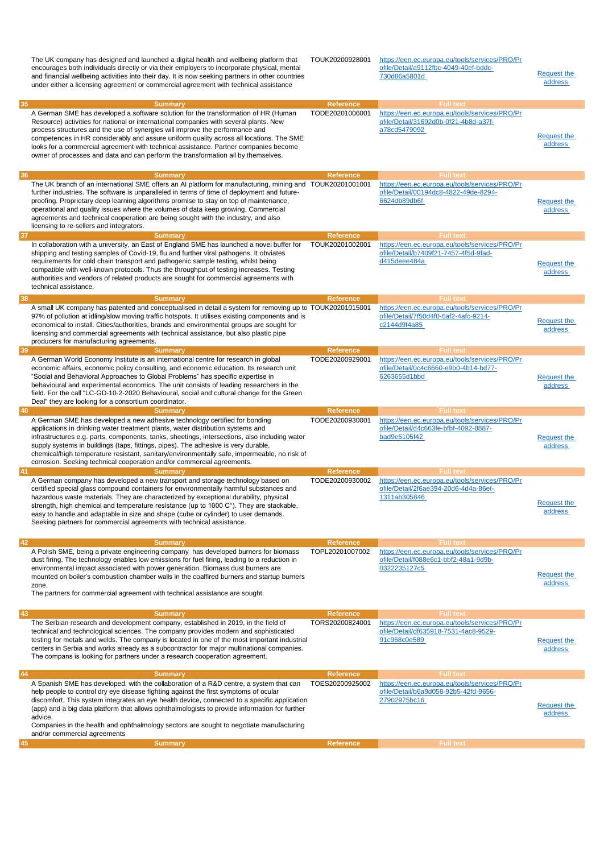| 35       | The UK company has designed and launched a digital health and wellbeing platform that<br>encourages both individuals directly or via their employers to incorporate physical, mental<br>and financial wellbeing activities into their day. It is now seeking partners in other countries<br>under either a licensing agreement or commercial agreement with technical assistance                                                                                                                                                                            | TOUK20200928001<br><b>Reference</b>  | https://een.ec.europa.eu/tools/services/PRO/Pr<br>ofile/Detail/a9112fbc-4049-40ef-bddc-<br>730d86a5801d<br><b>Full text</b>                     | <b>Request the</b><br>address |
|----------|-------------------------------------------------------------------------------------------------------------------------------------------------------------------------------------------------------------------------------------------------------------------------------------------------------------------------------------------------------------------------------------------------------------------------------------------------------------------------------------------------------------------------------------------------------------|--------------------------------------|-------------------------------------------------------------------------------------------------------------------------------------------------|-------------------------------|
|          | <b>Summary</b><br>A German SME has developed a software solution for the transformation of HR (Human<br>Resource) activities for national or international companies with several plants. New<br>process structures and the use of synergies will improve the performance and<br>competences in HR considerably and assure uniform quality across all locations. The SME<br>looks for a commercial agreement with technical assistance. Partner companies become<br>owner of processes and data and can perform the transformation all by themselves.       | TODE20201006001                      | https://een.ec.europa.eu/tools/services/PRO/Pr<br>ofile/Detail/31692d0b-0f21-4b8d-a37f-<br>a78cd5479092                                         | <b>Request the</b><br>address |
| 36<br>37 | <b>Summary</b><br>The UK branch of an international SME offers an AI platform for manufacturing, mining and TOUK20201001001<br>further industries. The software is unparalleled in terms of time of deployment and future-<br>proofing. Proprietary deep learning algorithms promise to stay on top of maintenance,<br>operational and quality issues where the volumes of data keep growing. Commercial<br>agreements and technical cooperation are being sought with the industry, and also<br>licensing to re-sellers and integrators.<br><b>Summary</b> | <b>Reference</b><br><b>Reference</b> | <b>Full text</b><br>https://een.ec.europa.eu/tools/services/PRO/Pr<br>ofile/Detail/00194dc8-4822-49de-8294-<br>6624db89db6f<br><b>Full text</b> | <b>Request the</b><br>address |
|          | In collaboration with a university, an East of England SME has launched a novel buffer for<br>shipping and testing samples of Covid-19, flu and further viral pathogens. It obviates<br>requirements for cold chain transport and pathogenic sample testing, whilst being<br>compatible with well-known protocols. Thus the throughput of testing increases. Testing<br>authorities and vendors of related products are sought for commercial agreements with<br>technical assistance.                                                                      | TOUK20201002001                      | https://een.ec.europa.eu/tools/services/PRO/Pr<br>ofile/Detail/b7409f21-7457-4f5d-9fad-<br>d415deee484a                                         | Request the<br>address        |
| 38       | <b>Summary</b>                                                                                                                                                                                                                                                                                                                                                                                                                                                                                                                                              | <b>Reference</b>                     | <b>Full text</b>                                                                                                                                |                               |
|          | A small UK company has patented and conceptualised in detail a system for removing up to TOUK20201015001<br>97% of pollution at idling/slow moving traffic hotspots. It utilises existing components and is<br>economical to install. Cities/authorities, brands and environmental groups are sought for<br>licensing and commercial agreements with technical assistance, but also plastic pipe<br>producers for manufacturing agreements.                                                                                                                 |                                      | https://een.ec.europa.eu/tools/services/PRO/Pr<br>ofile/Detail/7f50d4f0-6af2-4afc-9214-<br>c2144d9f4a85                                         | <b>Request the</b><br>address |
| 39       | <b>Summary</b><br>A German World Economy Institute is an international centre for research in global<br>economic affairs, economic policy consulting, and economic education. Its research unit<br>"Social and Behavioral Approaches to Global Problems" has specific expertise in<br>behavioural and experimental economics. The unit consists of leading researchers in the<br>field. For the call "LC-GD-10-2-2020 Behavioural, social and cultural change for the Green<br>Deal" they are looking for a consortium coordinator.                         | <b>Reference</b><br>TODE20200929001  | <b>Full text</b><br>https://een.ec.europa.eu/tools/services/PRO/Pr<br>ofile/Detail/0c4c6660-e9b0-4b14-bd77-<br>6263655d1bbd                     | <b>Request the</b><br>address |
| 40       | <b>Summary</b><br>A German SME has developed a new adhesive technology certified for bonding<br>applications in drinking water treatment plants, water distribution systems and<br>infrastructures e.g. parts, components, tanks, sheetings, intersections, also including water<br>supply systems in buildings (taps, fittings, pipes). The adhesive is very durable,<br>chemical/high temperature resistant, sanitary/environmentally safe, impermeable, no risk of<br>corrosion. Seeking technical cooperation and/or commercial agreements.             | <b>Reference</b><br>TODE20200930001  | <b>Full text</b><br>https://een.ec.europa.eu/tools/services/PRO/Pr<br>ofile/Detail/d4c663fe-bfbf-4092-8887-<br>bad9e5105f42                     | <b>Request the</b><br>address |
| 41       | <b>Summary</b>                                                                                                                                                                                                                                                                                                                                                                                                                                                                                                                                              | <b>Reference</b>                     | <b>Full text</b>                                                                                                                                |                               |
|          | A German company has developed a new transport and storage technology based on<br>certified special glass compound containers for environmentally harmful substances and<br>hazardous waste materials. They are characterized by exceptional durability, physical<br>strength, high chemical and temperature resistance (up to $1000 \, \mathrm{C}^{\circ}$ ). They are stackable,<br>easy to handle and adaptable in size and shape (cube or cylinder) to user demands.<br>Seeking partners for commercial agreements with technical assistance.           | TODE20200930002                      | https://een.ec.europa.eu/tools/services/PRO/Pr<br>ofile/Detail/2f6ae394-20d6-4d4a-86ef-<br>1311ab305846                                         | <b>Request the</b><br>address |
| 42       | <b>Summary</b>                                                                                                                                                                                                                                                                                                                                                                                                                                                                                                                                              | <b>Reference</b>                     | <b>Full text</b>                                                                                                                                |                               |
|          | A Polish SME, being a private engineering company has developed burners for biomass<br>dust firing. The technology enables low emissions for fuel firing, leading to a reduction in<br>environmental impact associated with power generation. Biomass dust burners are<br>mounted on boiler's combustion chamber walls in the coalfired burners and startup burners<br>zone.<br>The partners for commercial agreement with technical assistance are sought.                                                                                                 | TOPL20201007002                      | https://een.ec.europa.eu/tools/services/PRO/Pr<br>ofile/Detail/f088e6c1-bbf2-48a1-9d9b-<br>0322235127c5                                         | Request the<br>address        |
| 43       | <b>Summary</b>                                                                                                                                                                                                                                                                                                                                                                                                                                                                                                                                              | <b>Reference</b>                     | <b>Full text</b>                                                                                                                                |                               |
|          | The Serbian research and development company, established in 2019, in the field of<br>technical and technological sciences. The company provides modern and sophisticated<br>testing for metals and welds. The company is located in one of the most important industrial<br>centers in Serbia and works already as a subcontractor for major multinational companies.<br>The compans is looking for partners under a research cooperation agreement.                                                                                                       | TORS20200824001                      | https://een.ec.europa.eu/tools/services/PRO/Pr<br>ofile/Detail/df635918-7531-4ac8-9529-<br>91c968c0e589                                         | Request the<br>address        |
| 44       | <b>Summary</b>                                                                                                                                                                                                                                                                                                                                                                                                                                                                                                                                              | <b>Reference</b>                     | <b>Full text</b>                                                                                                                                |                               |
|          | A Spanish SME has developed, with the collaboration of a R&D centre, a system that can<br>help people to control dry eye disease fighting against the first symptoms of ocular<br>discomfort. This system integrates an eye health device, connected to a specific application<br>(app) and a big data platform that allows ophthalmologists to provide information for further<br>advice.<br>Companies in the health and ophthalmology sectors are sought to negotiate manufacturing<br>and/or commercial agreements                                       | TOES20200925002                      | https://een.ec.europa.eu/tools/services/PRO/Pr<br>ofile/Detail/b6a9d058-92b5-42fd-9656-<br>27902975bc16                                         | <b>Request the</b><br>address |
| 45       | <b>Summary</b>                                                                                                                                                                                                                                                                                                                                                                                                                                                                                                                                              | <b>Reference</b>                     | <b>Full text</b>                                                                                                                                |                               |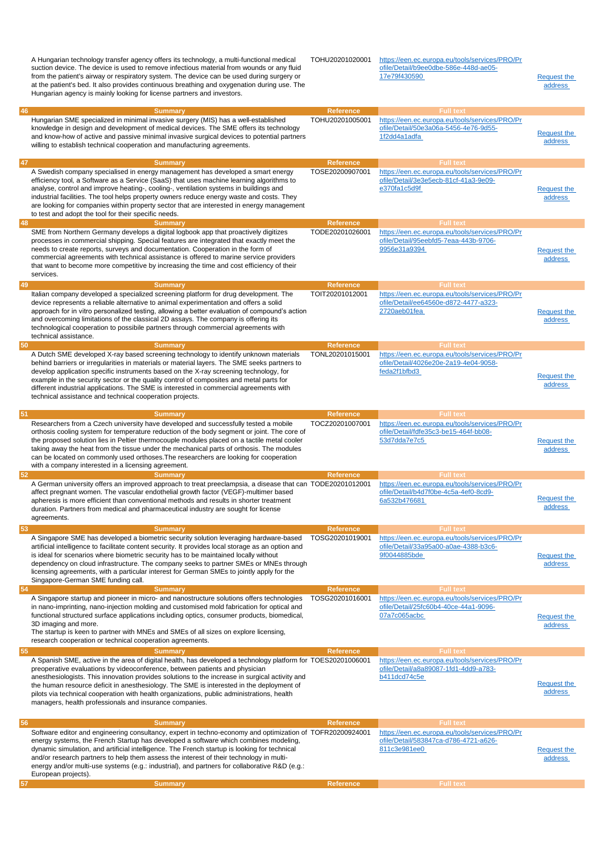|    | A Hungarian technology transfer agency offers its technology, a multi-functional medical<br>suction device. The device is used to remove infectious material from wounds or any fluid<br>from the patient's airway or respiratory system. The device can be used during surgery or<br>at the patient's bed. It also provides continuous breathing and oxygenation during use. The<br>Hungarian agency is mainly looking for license partners and investors.                                                                                        | TOHU20201020001                     | https://een.ec.europa.eu/tools/services/PRO/Pr<br>ofile/Detail/b9ee0dbe-586e-448d-ae05-<br>17e79f430590                     | <b>Request the</b><br>address |
|----|----------------------------------------------------------------------------------------------------------------------------------------------------------------------------------------------------------------------------------------------------------------------------------------------------------------------------------------------------------------------------------------------------------------------------------------------------------------------------------------------------------------------------------------------------|-------------------------------------|-----------------------------------------------------------------------------------------------------------------------------|-------------------------------|
| 46 | <b>Summary</b>                                                                                                                                                                                                                                                                                                                                                                                                                                                                                                                                     | <b>Reference</b>                    | <b>Full text</b>                                                                                                            |                               |
|    | Hungarian SME specialized in minimal invasive surgery (MIS) has a well-established<br>knowledge in design and development of medical devices. The SME offers its technology<br>and know-how of active and passive minimal invasive surgical devices to potential partners<br>willing to establish technical cooperation and manufacturing agreements.                                                                                                                                                                                              | TOHU20201005001                     | https://een.ec.europa.eu/tools/services/PRO/Pr<br>ofile/Detail/50e3a06a-5456-4e76-9d55-<br>1f2dd4a1adfa                     | <b>Request the</b><br>address |
| 47 | <b>Summary</b>                                                                                                                                                                                                                                                                                                                                                                                                                                                                                                                                     | <b>Reference</b>                    | <b>Full text</b>                                                                                                            |                               |
|    | A Swedish company specialised in energy management has developed a smart energy<br>efficiency tool, a Software as a Service (SaaS) that uses machine learning algorithms to<br>analyse, control and improve heating-, cooling-, ventilation systems in buildings and<br>industrial facilities. The tool helps property owners reduce energy waste and costs. They<br>are looking for companies within property sector that are interested in energy management<br>to test and adopt the tool for their specific needs.                             | TOSE20200907001                     | https://een.ec.europa.eu/tools/services/PRO/Pr<br>ofile/Detail/3e3e5ecb-81cf-41a3-9e09-<br>e370fa1c5d9f                     | <b>Request the</b><br>address |
| 48 | <b>Summary</b>                                                                                                                                                                                                                                                                                                                                                                                                                                                                                                                                     | <b>Reference</b>                    | <b>Full text</b>                                                                                                            |                               |
|    | SME from Northern Germany develops a digital logbook app that proactively digitizes<br>processes in commercial shipping. Special features are integrated that exactly meet the<br>needs to create reports, surveys and documentation. Cooperation in the form of<br>commercial agreements with technical assistance is offered to marine service providers<br>that want to become more competitive by increasing the time and cost efficiency of their<br>services.                                                                                | TODE20201026001                     | https://een.ec.europa.eu/tools/services/PRO/Pr<br>ofile/Detail/95eebfd5-7eaa-443b-9706-<br>9956e31a9394                     | <b>Request the</b><br>address |
| 49 | <b>Summary</b>                                                                                                                                                                                                                                                                                                                                                                                                                                                                                                                                     | <b>Reference</b>                    | <b>Full text</b>                                                                                                            |                               |
|    | Italian company developed a specialized screening platform for drug development. The<br>device represents a reliable alternative to animal experimentation and offers a solid<br>approach for in vitro personalized testing, allowing a better evaluation of compound's action<br>and overcoming limitations of the classical 2D assays. The company is offering its<br>technological cooperation to possibile partners through commercial agreements with<br>technical assistance.                                                                | TOIT20201012001                     | https://een.ec.europa.eu/tools/services/PRO/Pr<br>ofile/Detail/ee64560e-d872-4477-a323-<br>2720aeb01fea                     | <b>Request the</b><br>address |
| 50 | <b>Summary</b>                                                                                                                                                                                                                                                                                                                                                                                                                                                                                                                                     | <b>Reference</b>                    | <b>Full text</b>                                                                                                            |                               |
|    | A Dutch SME developed X-ray based screening technology to identify unknown materials<br>behind barriers or irregularities in materials or material layers. The SME seeks partners to<br>develop application specific instruments based on the X-ray screening technology, for<br>example in the security sector or the quality control of composites and metal parts for<br>different industrial applications. The SME is interested in commercial agreements with<br>technical assistance and technical cooperation projects.                     | TONL20201015001                     | https://een.ec.europa.eu/tools/services/PRO/Pr<br>ofile/Detail/4026e20e-2a19-4e04-9058-<br>feda2f1bfbd3                     | <b>Request the</b><br>address |
| 51 | <b>Summary</b>                                                                                                                                                                                                                                                                                                                                                                                                                                                                                                                                     | <b>Reference</b>                    | <b>Full text</b>                                                                                                            |                               |
|    | Researchers from a Czech university have developed and successfully tested a mobile<br>orthosis cooling system for temperature reduction of the body segment or joint. The core of<br>the proposed solution lies in Peltier thermocouple modules placed on a tactile metal cooler<br>taking away the heat from the tissue under the mechanical parts of orthosis. The modules<br>can be located on commonly used orthoses. The researchers are looking for cooperation<br>with a company interested in a licensing agreement.                      | TOCZ20201007001                     | https://een.ec.europa.eu/tools/services/PRO/Pr<br>ofile/Detail/fdfe35c3-be15-464f-bb08-<br>53d7dda7e7c5                     | <b>Request the</b><br>address |
| 52 | <b>Summary</b>                                                                                                                                                                                                                                                                                                                                                                                                                                                                                                                                     | <b>Reference</b>                    | <b>Full text</b>                                                                                                            |                               |
|    | A German university offers an improved approach to treat preeclampsia, a disease that can TODE20201012001<br>affect pregnant women. The vascular endothelial growth factor (VEGF)-multimer based<br>apheresis is more efficient than conventional methods and results in shorter treatment<br>duration. Partners from medical and pharmaceutical industry are sought for license<br>agreements.                                                                                                                                                    |                                     | https://een.ec.europa.eu/tools/services/PRO/Pr<br>ofile/Detail/b4d7f0be-4c5a-4ef0-8cd9-<br>6a532b476681                     | Request the<br>address        |
| 53 | <b>Summary</b>                                                                                                                                                                                                                                                                                                                                                                                                                                                                                                                                     | <b>Reference</b>                    | <b>Full text</b>                                                                                                            |                               |
| 54 | A Singapore SME has developed a biometric security solution leveraging hardware-based<br>artificial intelligence to facilitate content security. It provides local storage as an option and<br>is ideal for scenarios where biometric security has to be maintained locally without<br>dependency on cloud infrastructure. The company seeks to partner SMEs or MNEs through<br>licensing agreements, with a particular interest for German SMEs to jointly apply for the<br>Singapore-German SME funding call.<br><b>Summary</b>                  | TOSG20201019001<br><b>Reference</b> | https://een.ec.europa.eu/tools/services/PRO/Pr<br>ofile/Detail/33a95a00-a0ae-4388-b3c6-<br>9f0044885bde<br><b>Full text</b> | <b>Request the</b><br>address |
|    | A Singapore startup and pioneer in micro- and nanostructure solutions offers technologies                                                                                                                                                                                                                                                                                                                                                                                                                                                          | TOSG20201016001                     | https://een.ec.europa.eu/tools/services/PRO/Pr                                                                              |                               |
|    | in nano-imprinting, nano-injection molding and customised mold fabrication for optical and<br>functional structured surface applications including optics, consumer products, biomedical,<br>3D imaging and more.<br>The startup is keen to partner with MNEs and SMEs of all sizes on explore licensing,<br>research cooperation or technical cooperation agreements.                                                                                                                                                                             |                                     | ofile/Detail/25fc60b4-40ce-44a1-9096-<br>07a7c065acbc<br><b>Full text</b>                                                   | <b>Request the</b><br>address |
| 55 | <b>Summary</b>                                                                                                                                                                                                                                                                                                                                                                                                                                                                                                                                     | <b>Reference</b>                    |                                                                                                                             |                               |
|    | A Spanish SME, active in the area of digital health, has developed a technology platform for TOES20201006001<br>preoperative evaluations by videoconference, between patients and physician<br>anesthesiologists. This innovation provides solutions to the increase in surgical activity and<br>the human resource deficit in anesthesiology. The SME is interested in the deployment of<br>pilots via technical cooperation with health organizations, public administrations, health<br>managers, health professionals and insurance companies. |                                     | https://een.ec.europa.eu/tools/services/PRO/Pr<br>ofile/Detail/a8a89087-1fd1-4dd9-a783-<br>b411dcd74c5e                     | Request the<br>address        |
| 56 | <b>Summary</b>                                                                                                                                                                                                                                                                                                                                                                                                                                                                                                                                     | <b>Reference</b>                    | <b>Full text</b>                                                                                                            |                               |
|    | Software editor and engineering consultancy, expert in techno-economy and optimization of TOFR20200924001<br>energy systems, the French Startup has developed a software which combines modeling,                                                                                                                                                                                                                                                                                                                                                  |                                     | https://een.ec.europa.eu/tools/services/PRO/Pr<br>ofile/Detail/583847ca-d786-4721-a626-                                     |                               |
|    | dynamic simulation, and artificial intelligence. The French startup is looking for technical<br>and/or research partners to help them assess the interest of their technology in multi-<br>energy and/or multi-use systems (e.g.: industrial), and partners for collaborative R&D (e.g.:<br>European projects).                                                                                                                                                                                                                                    |                                     | 811c3e981ee0                                                                                                                | <b>Request the</b><br>address |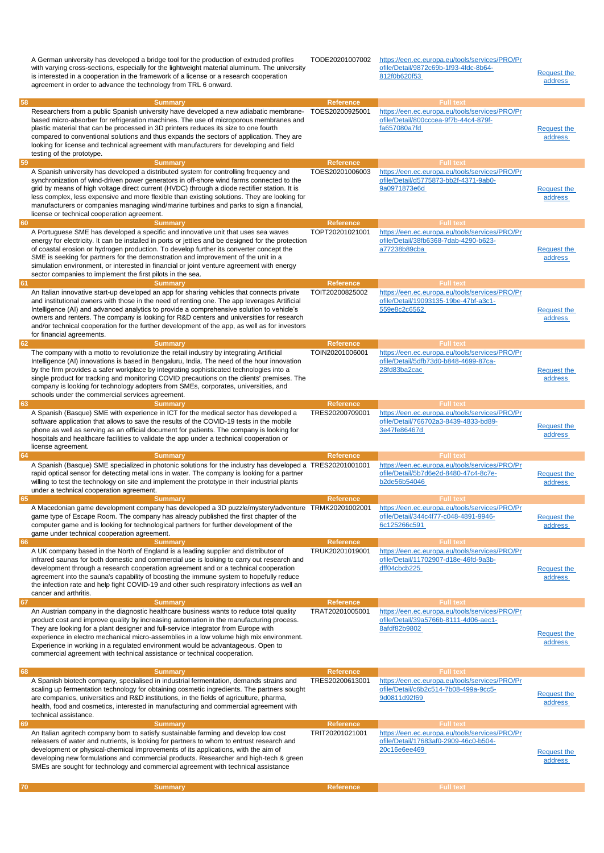|    | A German university has developed a bridge tool for the production of extruded profiles<br>with varying cross-sections, especially for the lightweight material aluminum. The university<br>is interested in a cooperation in the framework of a license or a research cooperation<br>agreement in order to advance the technology from TRL 6 onward.                                                                                                                                                                               | TODE20201007002              | https://een.ec.europa.eu/tools/services/PRO/Pr<br>ofile/Detail/9872c69b-1f93-4fdc-8b64-<br>812f0b620f53 | <b>Request the</b><br>address |
|----|-------------------------------------------------------------------------------------------------------------------------------------------------------------------------------------------------------------------------------------------------------------------------------------------------------------------------------------------------------------------------------------------------------------------------------------------------------------------------------------------------------------------------------------|------------------------------|---------------------------------------------------------------------------------------------------------|-------------------------------|
| 58 | <b>Summary</b>                                                                                                                                                                                                                                                                                                                                                                                                                                                                                                                      | <b>Reference</b>             | <b>Full text</b>                                                                                        |                               |
|    | Researchers from a public Spanish university have developed a new adiabatic membrane-<br>based micro-absorber for refrigeration machines. The use of microporous membranes and<br>plastic material that can be processed in 3D printers reduces its size to one fourth<br>compared to conventional solutions and thus expands the sectors of application. They are<br>looking for license and technical agreement with manufacturers for developing and field<br>testing of the prototype.                                          | TOES20200925001              | https://een.ec.europa.eu/tools/services/PRO/Pr<br>ofile/Detail/800cccea-9f7b-44c4-879f-<br>fa657080a7fd | <b>Request the</b><br>address |
| 59 | <b>Summary</b>                                                                                                                                                                                                                                                                                                                                                                                                                                                                                                                      | Reference                    | <b>Full text</b>                                                                                        |                               |
|    | A Spanish university has developed a distributed system for controlling frequency and<br>synchronization of wind-driven power generators in off-shore wind farms connected to the<br>grid by means of high voltage direct current (HVDC) through a diode rectifier station. It is<br>less complex, less expensive and more flexible than existing solutions. They are looking for<br>manufacturers or companies managing wind/marine turbines and parks to sign a financial,<br>license or technical cooperation agreement.         | TOES20201006003              | https://een.ec.europa.eu/tools/services/PRO/Pr<br>ofile/Detail/d5775873-bb2f-4371-9ab0-<br>9a0971873e6d | <b>Request the</b><br>address |
| 60 | <b>Summary</b>                                                                                                                                                                                                                                                                                                                                                                                                                                                                                                                      | <b>Reference</b>             | <b>Full text</b>                                                                                        |                               |
|    | A Portuguese SME has developed a specific and innovative unit that uses sea waves<br>energy for electricity. It can be installed in ports or jetties and be designed for the protection<br>of coastal erosion or hydrogen production. To develop further its converter concept the<br>SME is seeking for partners for the demonstration and improvement of the unit in a<br>simulation environment, or interested in financial or joint venture agreement with energy<br>sector companies to implement the first pilots in the sea. | TOPT20201021001              | https://een.ec.europa.eu/tools/services/PRO/Pr<br>ofile/Detail/38fb6368-7dab-4290-b623-<br>a77238b89cba | <b>Request the</b><br>address |
| 61 | <b>Summary</b>                                                                                                                                                                                                                                                                                                                                                                                                                                                                                                                      | <b>Reference</b>             | <b>Full text</b>                                                                                        |                               |
|    | An Italian innovative start-up developed an app for sharing vehicles that connects private<br>and institutional owners with those in the need of renting one. The app leverages Artificial<br>Intelligence (AI) and advanced analytics to provide a comprehensive solution to vehicle's<br>owners and renters. The company is looking for R&D centers and universities for research<br>and/or technical cooperation for the further development of the app, as well as for investors<br>for financial agreements.                   | TOIT20200825002              | https://een.ec.europa.eu/tools/services/PRO/Pr<br>ofile/Detail/19093135-19be-47bf-a3c1-<br>559e8c2c6562 | <b>Request the</b><br>address |
| 62 | <b>Summary</b>                                                                                                                                                                                                                                                                                                                                                                                                                                                                                                                      | <b>Reference</b>             | <b>Full text</b>                                                                                        |                               |
|    | The company with a motto to revolutionize the retail industry by integrating Artificial<br>Intelligence (AI) innovations is based in Bengaluru, India. The need of the hour innovation<br>by the firm provides a safer workplace by integrating sophisticated technologies into a<br>single product for tracking and monitoring COVID precautions on the clients' premises. The<br>company is looking for technology adopters from SMEs, corporates, universities, and<br>schools under the commercial services agreement.          | TOIN20201006001              | https://een.ec.europa.eu/tools/services/PRO/Pr<br>ofile/Detail/5dfb73d0-b848-4699-87ca-<br>28fd83ba2cac | <b>Request the</b><br>address |
| 63 | <b>Summary</b>                                                                                                                                                                                                                                                                                                                                                                                                                                                                                                                      | <b>Reference</b>             | <b>Full text</b>                                                                                        |                               |
|    | A Spanish (Basque) SME with experience in ICT for the medical sector has developed a<br>software application that allows to save the results of the COVID-19 tests in the mobile<br>phone as well as serving as an official document for patients. The company is looking for<br>hospitals and healthcare facilities to validate the app under a technical cooperation or<br>license agreement.                                                                                                                                     | TRES20200709001              | https://een.ec.europa.eu/tools/services/PRO/Pr<br>ofile/Detail/766702a3-8439-4833-bd89-<br>3e47fe86467d | <b>Request the</b><br>address |
| 64 | <b>Summary</b>                                                                                                                                                                                                                                                                                                                                                                                                                                                                                                                      | <b>Reference</b>             | <b>Full text</b>                                                                                        |                               |
|    | A Spanish (Basque) SME specialized in photonic solutions for the industry has developed a TRES20201001001<br>rapid optical sensor for detecting metal ions in water. The company is looking for a partner<br>willing to test the technology on site and implement the prototype in their industrial plants<br>under a technical cooperation agreement.                                                                                                                                                                              |                              | https://een.ec.europa.eu/tools/services/PRO/Pr<br>ofile/Detail/5b7d6e2d-8480-47c4-8c7e-<br>b2de56b54046 | <b>Request the</b><br>address |
| 65 | Summary<br>A Macedonian game development company has developed a 3D puzzle/mystery/adventure TRMK20201002001                                                                                                                                                                                                                                                                                                                                                                                                                        | <b>Reference</b>             | <b>Full text</b><br>https://een.ec.europa.eu/tools/services/PRO/Pr                                      |                               |
|    | game type of Escape Room. The company has already published the first chapter of the<br>computer game and is looking for technological partners for further development of the<br>game under technical cooperation agreement.                                                                                                                                                                                                                                                                                                       |                              | ofile/Detail/344c4f77-c048-4891-9946-<br>6c125266c591                                                   | Request the<br>address        |
| 66 | <b>Summary</b>                                                                                                                                                                                                                                                                                                                                                                                                                                                                                                                      | <b>Reference</b>             | <b>Full text</b>                                                                                        |                               |
|    | A UK company based in the North of England is a leading supplier and distributor of<br>infrared saunas for both domestic and commercial use is looking to carry out research and<br>development through a research cooperation agreement and or a technical cooperation<br>agreement into the sauna's capability of boosting the immune system to hopefully reduce<br>the infection rate and help fight COVID-19 and other such respiratory infections as well an<br>cancer and arthritis.                                          | TRUK20201019001              | https://een.ec.europa.eu/tools/services/PRO/Pr<br>ofile/Detail/11702907-d18e-46fd-9a3b-<br>dff04cbcb225 | Request the<br>address        |
| 67 | <b>Summary</b><br>An Austrian company in the diagnostic healthcare business wants to reduce total quality                                                                                                                                                                                                                                                                                                                                                                                                                           | Reference<br>TRAT20201005001 | <b>Full text</b><br>https://een.ec.europa.eu/tools/services/PRO/Pr                                      |                               |
|    | product cost and improve quality by increasing automation in the manufacturing process.<br>They are looking for a plant designer and full-service integrator from Europe with                                                                                                                                                                                                                                                                                                                                                       |                              | ofile/Detail/39a5766b-8111-4d06-aec1-                                                                   |                               |
|    | experience in electro mechanical micro-assemblies in a low volume high mix environment.<br>Experience in working in a regulated environment would be advantageous. Open to<br>commercial agreement with technical assistance or technical cooperation.                                                                                                                                                                                                                                                                              |                              | 8afdf82b9802                                                                                            | <b>Request the</b><br>address |
| 68 | <b>Summary</b>                                                                                                                                                                                                                                                                                                                                                                                                                                                                                                                      | <b>Reference</b>             | <b>Full text</b>                                                                                        |                               |
|    | A Spanish biotech company, specialised in industrial fermentation, demands strains and<br>scaling up fermentation technology for obtaining cosmetic ingredients. The partners sought<br>are companies, universities and R&D institutions, in the fields of agriculture, pharma,<br>health, food and cosmetics, interested in manufacturing and commercial agreement with<br>technical assistance.                                                                                                                                   | TRES20200613001              | https://een.ec.europa.eu/tools/services/PRO/Pr<br>ofile/Detail/c6b2c514-7b08-499a-9cc5-<br>9d0811d92f69 | <b>Request the</b><br>address |
| 69 | <b>Summary</b>                                                                                                                                                                                                                                                                                                                                                                                                                                                                                                                      | <b>Reference</b>             | <b>Full text</b>                                                                                        |                               |
|    | An Italian agritech company born to satisfy sustainable farming and develop low cost<br>releasers of water and nutrients, is looking for partners to whom to entrust research and<br>development or physical-chemical improvements of its applications, with the aim of<br>developing new formulations and commercial products. Researcher and high-tech & green<br>SMEs are sought for technology and commercial agreement with technical assistance                                                                               | TRIT20201021001              | https://een.ec.europa.eu/tools/services/PRO/Pr<br>ofile/Detail/17683af0-2909-46c0-b504-<br>20c16e6ee469 | <b>Request the</b><br>address |